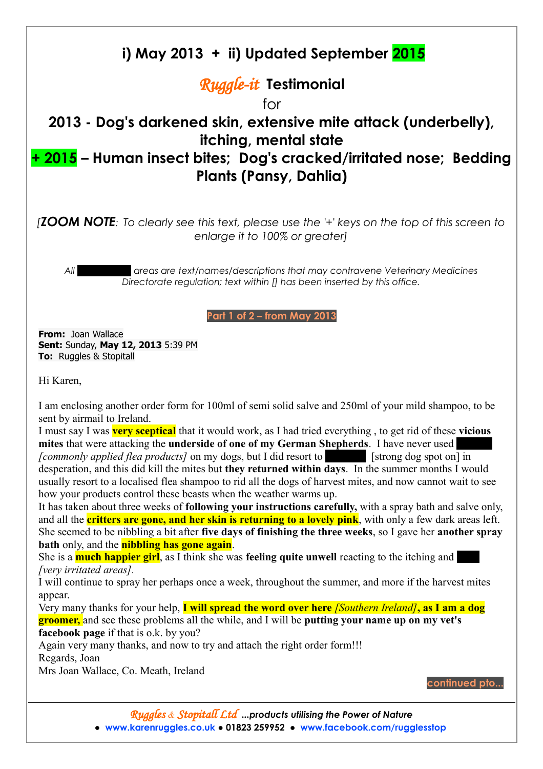## **i) May 2013 + ii) Updated September 2015**

## *Ruggle-it* **Testimonial**

for

## **2013 - Dog's darkened skin, extensive mite attack (underbelly), itching, mental state**

## **+ 2015 – Human insect bites; Dog's cracked/irritated nose; Bedding Plants (Pansy, Dahlia)**

*[ZOOM NOTE: To clearly see this text, please use the '+' keys on the top of this screen to enlarge it to 100% or greater]*

*All blacked out areas are text/names/descriptions that may contravene Veterinary Medicines Directorate regulation; text within [] has been inserted by this office.*

**Part 1 of 2 – from May 2013**

**From:** Joan Wallace **Sent:** Sunday, **May 12, 2013** 5:39 PM **To:** Ruggles & Stopitall

Hi Karen,

I am enclosing another order form for 100ml of semi solid salve and 250ml of your mild shampoo, to be sent by airmail to Ireland.

I must say I was **very sceptical** that it would work, as I had tried everything , to get rid of these **vicious mites** that were attacking the **underside of one of my German Shepherds**. I have never used *[commonly applied flea products]* on my dogs, but I did resort to **Frontline [strong dog spot on**] in desperation, and this did kill the mites but **they returned within days**. In the summer months I would usually resort to a localised flea shampoo to rid all the dogs of harvest mites, and now cannot wait to see how your products control these beasts when the weather warms up.

It has taken about three weeks of **following your instructions carefully,** with a spray bath and salve only, and all the **critters are gone, and her skin is returning to a lovely pink**, with only a few dark areas left. She seemed to be nibbling a bit after **five days of finishing the three weeks**, so I gave her **another spray bath** only, and the **nibbling has gone again**.

She is a **much happier girl**, as I think she was **feeling quite unwell** reacting to the itching and *[very irritated areas].*

I will continue to spray her perhaps once a week, throughout the summer, and more if the harvest mites appear.

Very many thanks for your help, **I will spread the word over here** *[Southern Ireland]***, as I am a dog groomer,** and see these problems all the while, and I will be **putting your name up on my vet's facebook page** if that is o.k. by you?

Again very many thanks, and now to try and attach the right order form!!! Regards, Joan

Mrs Joan Wallace, Co. Meath, Ireland

**continued pto...**

*Ruggles & Stopitall Ltd ...products utilising the Power of Nature* **● [www.karenruggles.co.uk](http://www.karenruggles.co.uk/) ● 01823 259952 ● www.facebook.com/rugglesstop**